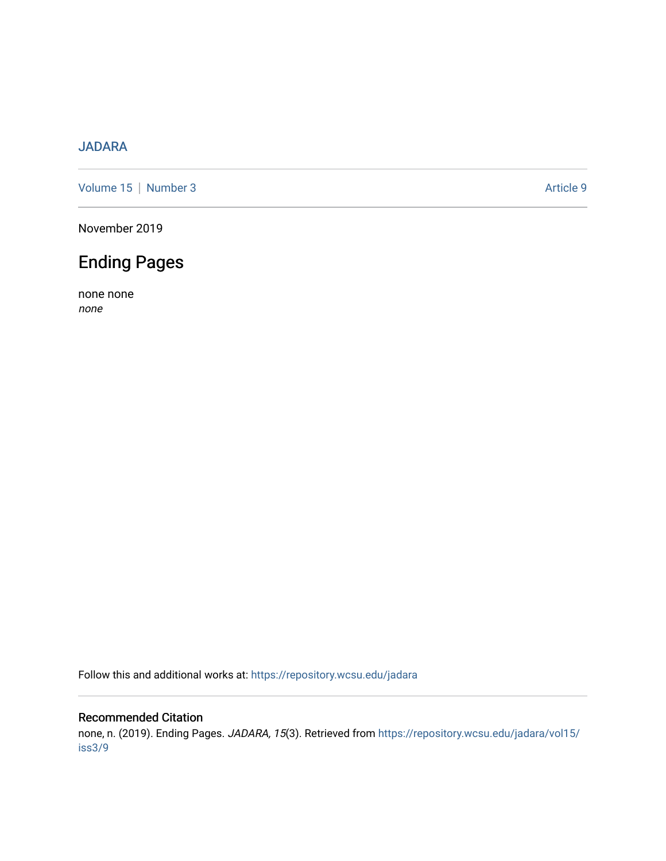### [JADARA](https://repository.wcsu.edu/jadara)

[Volume 15](https://repository.wcsu.edu/jadara/vol15) | [Number 3](https://repository.wcsu.edu/jadara/vol15/iss3) Article 9

November 2019

## Ending Pages

none none none

Follow this and additional works at: [https://repository.wcsu.edu/jadara](https://repository.wcsu.edu/jadara?utm_source=repository.wcsu.edu%2Fjadara%2Fvol15%2Fiss3%2F9&utm_medium=PDF&utm_campaign=PDFCoverPages)

#### Recommended Citation

none, n. (2019). Ending Pages. JADARA, 15(3). Retrieved from [https://repository.wcsu.edu/jadara/vol15/](https://repository.wcsu.edu/jadara/vol15/iss3/9?utm_source=repository.wcsu.edu%2Fjadara%2Fvol15%2Fiss3%2F9&utm_medium=PDF&utm_campaign=PDFCoverPages) [iss3/9](https://repository.wcsu.edu/jadara/vol15/iss3/9?utm_source=repository.wcsu.edu%2Fjadara%2Fvol15%2Fiss3%2F9&utm_medium=PDF&utm_campaign=PDFCoverPages)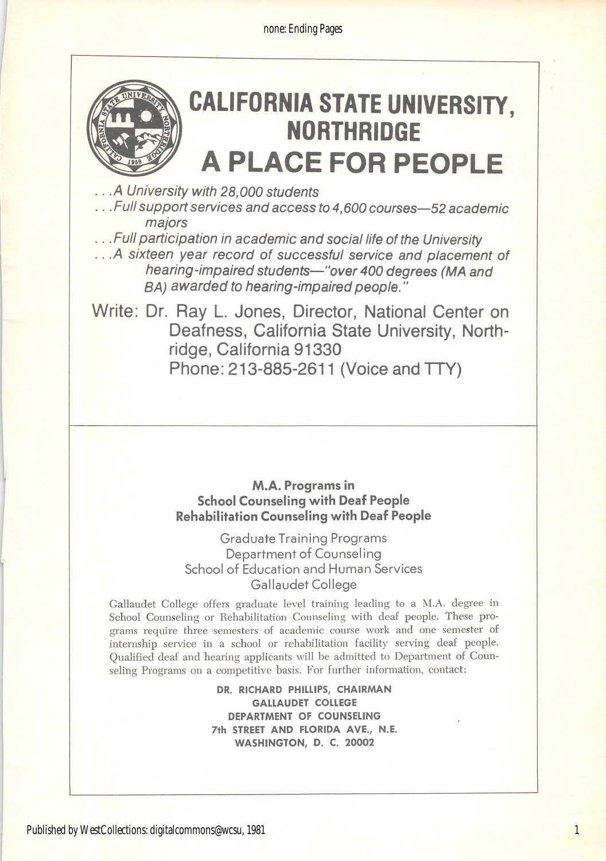none: Ending Pages



# CALIFORNIA STATE UNIVERSITY, **NORTHRIDGE** A PLACE FOR PEOPLE

.A University with 28,000 students

... Full support services and access to 4,600 courses—52 academic majors

.. .Full participation in academic and social life of the University

.. .A sixteen year record of successful service and placement of hearing-impaired students—"over 400 degrees (MA and BA) awarded to hearing-impaired people."

Write: Dr. Ray L. Jones, Director, National Center on Deafness, California State University, Northridge, California 91330 Phone: 213-885-2611 (Voice and TTY)

#### M.A. Programs in School Counseling with Deaf People Rehabilitation Counseling with Deaf People

Graduate Training Programs Department of Counseling School of Education and Human Services Gallaudet College

Gallaudet College offers graduate level training leading to a M.A. degree in School Counseling or Rehabilitation Counseling with deaf people. These pro grams require three semesters of academic course work and one semester of internship service in a school or rehabilitation facility serving deaf people. Qualified deaf and hearing applicants will be admitted to Department of Coun seling Programs on a competitive basis. For further information, contact:

> DR. RICHARD PHILLIPS, CHAIRMAN GALLAUDET COLLEGE DEPARTMENT OF COUNSELING 7th STREET AND FLORIDA AVE., N.E. WASHINGTON, D. C. 20002

1